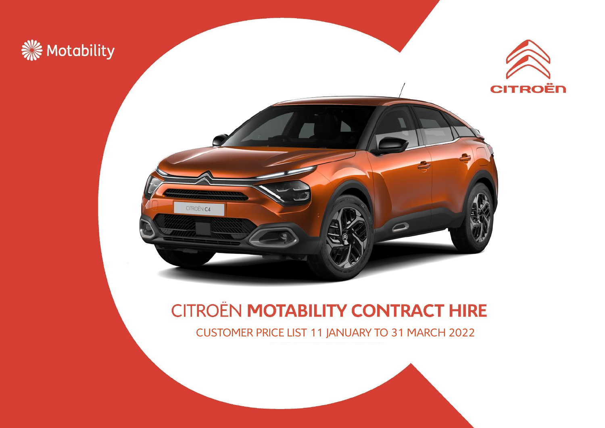





### **CITROËN MOTABILITY CONTRACT HIRE**

CUSTOMER PRICE LIST 11 JANUARY TO 31 MARCH 2022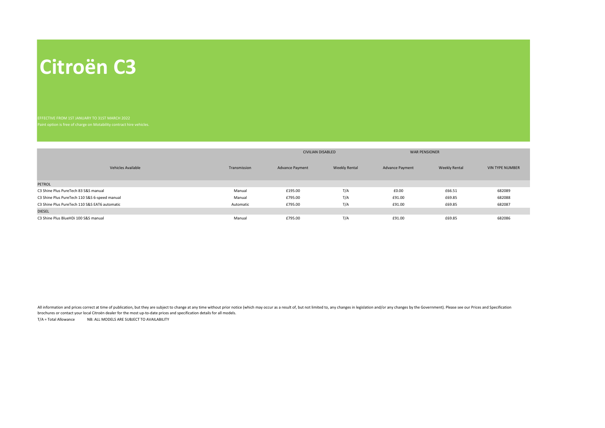## **Citroën C3**

|                                               |              | <b>CIVILIAN DISABLED</b> |                      | <b>WAR PENSIONER</b>   |                      |                        |
|-----------------------------------------------|--------------|--------------------------|----------------------|------------------------|----------------------|------------------------|
| Vehicles Available                            | Transmission | <b>Advance Payment</b>   | <b>Weekly Rental</b> | <b>Advance Payment</b> | <b>Weekly Rental</b> | <b>VIN TYPE NUMBER</b> |
| <b>PETROL</b>                                 |              |                          |                      |                        |                      |                        |
| C3 Shine Plus PureTech 83 S&S manual          | Manual       | £195.00                  | T/A                  | £0.00                  | £66.51               | 682089                 |
| C3 Shine Plus PureTech 110 S&S 6-speed manual | Manual       | £795.00                  | T/A                  | £91.00                 | £69.85               | 682088                 |
| C3 Shine Plus PureTech 110 S&S EAT6 automatic | Automatic    | £795.00                  | T/A                  | £91.00                 | £69.85               | 682087                 |
| <b>DIESEL</b>                                 |              |                          |                      |                        |                      |                        |
| C3 Shine Plus BlueHDi 100 S&S manual          | Manual       | £795.00                  | T/A                  | £91.00                 | £69.85               | 682086                 |

All information and prices correct at time of publication, but they are subject to change at any time without prior notice (which may occur as a result of, but not limited to, any changes in legislation and/or any changes brochures or contact your local Citroën dealer for the most up-to-date prices and specification details for all models.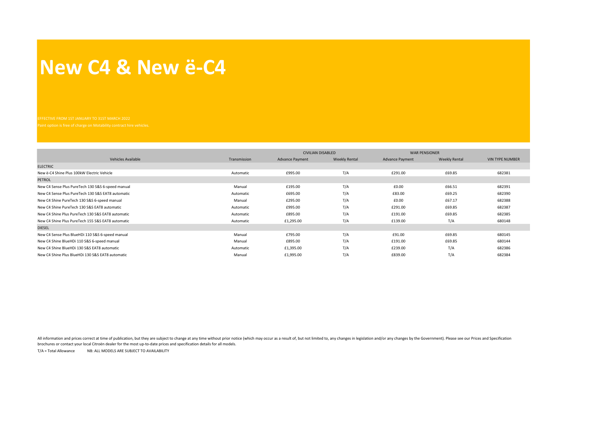#### **New C4 & New ë-C4**

|                                                   |              | <b>CIVILIAN DISABLED</b> |                      | <b>WAR PENSIONER</b>   |                      |                        |  |
|---------------------------------------------------|--------------|--------------------------|----------------------|------------------------|----------------------|------------------------|--|
| Vehicles Available                                | Transmission | <b>Advance Payment</b>   | <b>Weekly Rental</b> | <b>Advance Payment</b> | <b>Weekly Rental</b> | <b>VIN TYPE NUMBER</b> |  |
| <b>ELECTRIC</b>                                   |              |                          |                      |                        |                      |                        |  |
| New ë-C4 Shine Plus 100kW Electric Vehicle        | Automatic    | £995.00                  | T/A                  | £291.00                | £69.85               | 682381                 |  |
| <b>PETROL</b>                                     |              |                          |                      |                        |                      |                        |  |
| New C4 Sense Plus PureTech 130 S&S 6-speed manual | Manual       | £195.00                  | T/A                  | £0.00                  | £66.51               | 682391                 |  |
| New C4 Sense Plus PureTech 130 S&S EAT8 automatic | Automatic    | £695.00                  | T/A                  | £83.00                 | £69.25               | 682390                 |  |
| New C4 Shine PureTech 130 S&S 6-speed manual      | Manual       | £295.00                  | T/A                  | £0.00                  | £67.17               | 682388                 |  |
| New C4 Shine PureTech 130 S&S EAT8 automatic      | Automatic    | £995.00                  | T/A                  | £291.00                | £69.85               | 682387                 |  |
| New C4 Shine Plus PureTech 130 S&S EAT8 automatic | Automatic    | £895.00                  | T/A                  | £191.00                | £69.85               | 682385                 |  |
| New C4 Shine Plus PureTech 155 S&S EAT8 automatic | Automatic    | £1,295.00                | T/A                  | £139.00                | T/A                  | 680148                 |  |
| <b>DIESEL</b>                                     |              |                          |                      |                        |                      |                        |  |
| New C4 Sense Plus BlueHDi 110 S&S 6-speed manual  | Manual       | £795.00                  | T/A                  | £91.00                 | £69.85               | 680145                 |  |
| New C4 Shine BlueHDi 110 S&S 6-speed manual       | Manual       | £895.00                  | T/A                  | £191.00                | £69.85               | 680144                 |  |
| New C4 Shine BlueHDi 130 S&S EAT8 automatic       | Automatic    | £1,395.00                | T/A                  | £239.00                | T/A                  | 682386                 |  |
| New C4 Shine Plus BlueHDi 130 S&S EAT8 automatic  | Manual       | £1,995.00                | T/A                  | £839.00                | T/A                  | 682384                 |  |

All information and prices correct at time of publication, but they are subject to change at any time without prior notice (which may occur as a result of, but not limited to, any changes in legislation and/or any changes brochures or contact your local Citroën dealer for the most up-to-date prices and specification details for all models.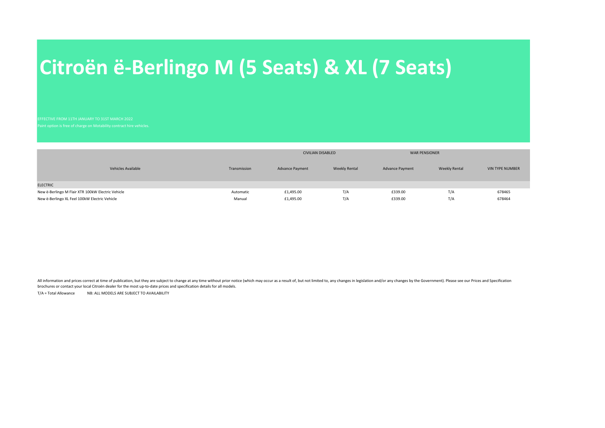# **Citroën ë-Berlingo M (5 Seats) & XL (7 Seats)**

EFFECTIVE FROM 11TH JANUARY TO 31ST MARCH 2022

|                                                   |              | <b>CIVILIAN DISABLED</b> |                      | <b>WAR PENSIONER</b>   |                      |                        |
|---------------------------------------------------|--------------|--------------------------|----------------------|------------------------|----------------------|------------------------|
| Vehicles Available                                | Transmission | <b>Advance Payment</b>   | <b>Weekly Rental</b> | <b>Advance Payment</b> | <b>Weekly Rental</b> | <b>VIN TYPE NUMBER</b> |
| <b>ELECTRIC</b>                                   |              |                          |                      |                        |                      |                        |
| New ë-Berlingo M Flair XTR 100kW Electric Vehicle | Automatic    | £1,495.00                | T/A                  | £339.00                | T/A                  | 678465                 |
| New ë-Berlingo XL Feel 100kW Electric Vehicle     | Manual       | £1,495.00                | T/A                  | £339.00                | T/A                  | 678464                 |

All information and prices correct at time of publication, but they are subject to change at any time without prior notice (which may occur as a result of, but not limited to, any changes in legislation and/or any changes brochures or contact your local Citroën dealer for the most up-to-date prices and specification details for all models.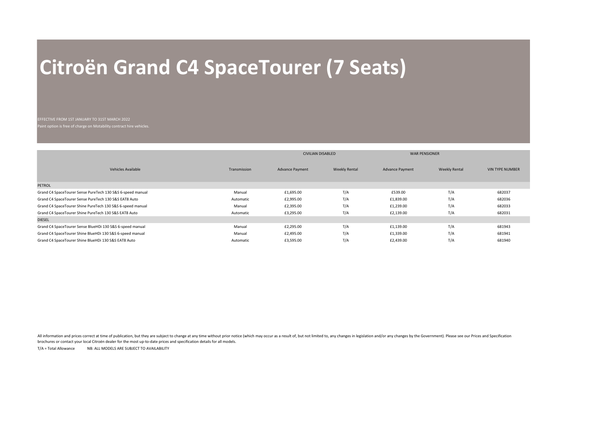# **Citroën Grand C4 SpaceTourer (7 Seats)**

#### EFFECTIVE FROM 1ST JANUARY TO 31ST MARCH 2022

Paint option is free of charge on Motability contract hire vehicles.

|                                                            |              | <b>CIVILIAN DISABLED</b> |                      | <b>WAR PENSIONER</b>   |                      |                        |
|------------------------------------------------------------|--------------|--------------------------|----------------------|------------------------|----------------------|------------------------|
| <b>Vehicles Available</b>                                  | Transmission | <b>Advance Payment</b>   | <b>Weekly Rental</b> | <b>Advance Payment</b> | <b>Weekly Rental</b> | <b>VIN TYPE NUMBER</b> |
| <b>PETROL</b>                                              |              |                          |                      |                        |                      |                        |
| Grand C4 SpaceTourer Sense PureTech 130 S&S 6-speed manual | Manual       | £1,695.00                | T/A                  | £539.00                | T/A                  | 682037                 |
| Grand C4 SpaceTourer Sense PureTech 130 S&S EAT8 Auto      | Automatic    | £2,995.00                | T/A                  | £1,839.00              | T/A                  | 682036                 |
| Grand C4 SpaceTourer Shine PureTech 130 S&S 6-speed manual | Manual       | £2,395.00                | T/A                  | £1,239.00              | T/A                  | 682033                 |
| Grand C4 SpaceTourer Shine PureTech 130 S&S EAT8 Auto      | Automatic    | £3,295.00                | T/A                  | £2,139.00              | T/A                  | 682031                 |
| <b>DIESEL</b>                                              |              |                          |                      |                        |                      |                        |
| Grand C4 SpaceTourer Sense BlueHDi 130 S&S 6-speed manual  | Manual       | £2,295.00                | T/A                  | £1,139.00              | T/A                  | 681943                 |
| Grand C4 SpaceTourer Shine BlueHDi 130 S&S 6-speed manual  | Manual       | £2,495.00                | T/A                  | £1,339.00              | T/A                  | 681941                 |
| Grand C4 SpaceTourer Shine BlueHDi 130 S&S EAT8 Auto       | Automatic    | £3,595.00                | T/A                  | £2,439.00              | T/A                  | 681940                 |

All information and prices correct at time of publication, but they are subject to change at any time without prior notice (which may occur as a result of, but not limited to, any changes in legislation and/or any changes brochures or contact your local Citroën dealer for the most up-to-date prices and specification details for all models.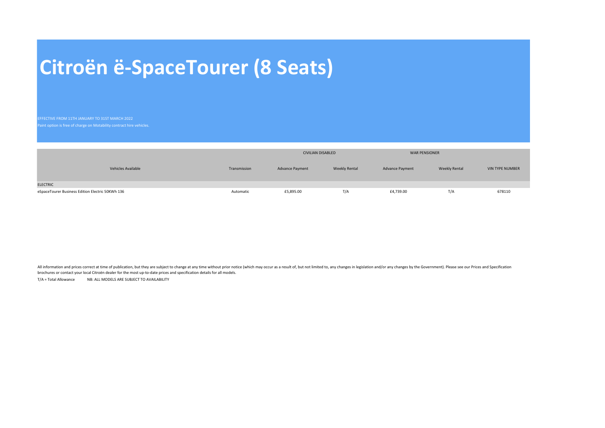# **Citroën ë-SpaceTourer (8 Seats)**

EFFECTIVE FROM 11TH JANUARY TO 31ST MARCH 2022

|                                                  |              |                        | <b>CIVILIAN DISABLED</b> |                        | <b>WAR PENSIONER</b> |                        |
|--------------------------------------------------|--------------|------------------------|--------------------------|------------------------|----------------------|------------------------|
| <b>Vehicles Available</b>                        | Transmission | <b>Advance Payment</b> | <b>Weekly Rental</b>     | <b>Advance Payment</b> | <b>Weekly Rental</b> | <b>VIN TYPE NUMBER</b> |
| <b>ELECTRIC</b>                                  |              |                        |                          |                        |                      |                        |
| eSpaceTourer Business Edition Electric 50KWh 136 | Automatic    | £5,895.00              | T/A                      | £4,739.00              | T/A                  | 678110                 |

All information and prices correct at time of publication, but they are subject to change at any time without prior notice (which may occur as a result of, but not limited to, any changes in legislation and/or any changes brochures or contact your local Citroën dealer for the most up-to-date prices and specification details for all models.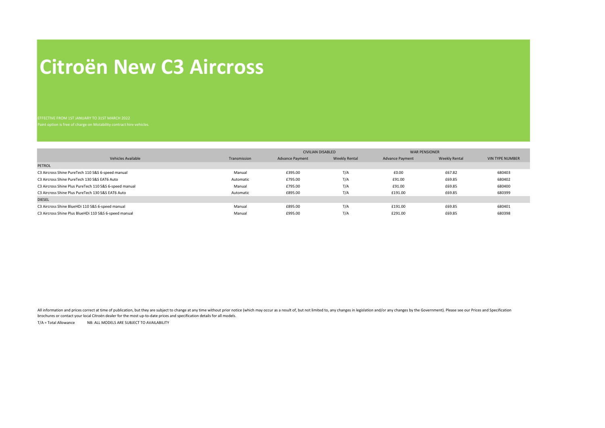## **Citroën New C3 Aircross**

|                                                        |              | <b>CIVILIAN DISABLED</b> |                      | <b>WAR PENSIONER</b>   |                      |                        |
|--------------------------------------------------------|--------------|--------------------------|----------------------|------------------------|----------------------|------------------------|
| <b>Vehicles Available</b>                              | Transmission | <b>Advance Payment</b>   | <b>Weekly Rental</b> | <b>Advance Payment</b> | <b>Weekly Rental</b> | <b>VIN TYPE NUMBER</b> |
| <b>PETROL</b>                                          |              |                          |                      |                        |                      |                        |
| C3 Aircross Shine PureTech 110 S&S 6-speed manual      | Manual       | £395.00                  | T/A                  | £0.00                  | £67.82               | 680403                 |
| C3 Aircross Shine PureTech 130 S&S EAT6 Auto           | Automatic    | £795.00                  | T/A                  | £91.00                 | £69.85               | 680402                 |
| C3 Aircross Shine Plus PureTech 110 S&S 6-speed manual | Manual       | £795.00                  | T/A                  | £91.00                 | £69.85               | 680400                 |
| C3 Aircross Shine Plus PureTech 130 S&S EAT6 Auto      | Automatic    | £895.00                  | T/A                  | £191.00                | £69.85               | 680399                 |
| <b>DIESEL</b>                                          |              |                          |                      |                        |                      |                        |
| C3 Aircross Shine BlueHDi 110 S&S 6-speed manual       | Manual       | £895.00                  | T/A                  | £191.00                | £69.85               | 680401                 |
| C3 Aircross Shine Plus BlueHDi 110 S&S 6-speed manual  | Manual       | £995.00                  | T/A                  | £291.00                | £69.85               | 680398                 |

All information and prices correct at time of publication, but they are subject to change at any time without prior notice (which may occur as a result of, but not limited to, any changes in legislation and/or any changes brochures or contact your local Citroën dealer for the most up-to-date prices and specification details for all models.